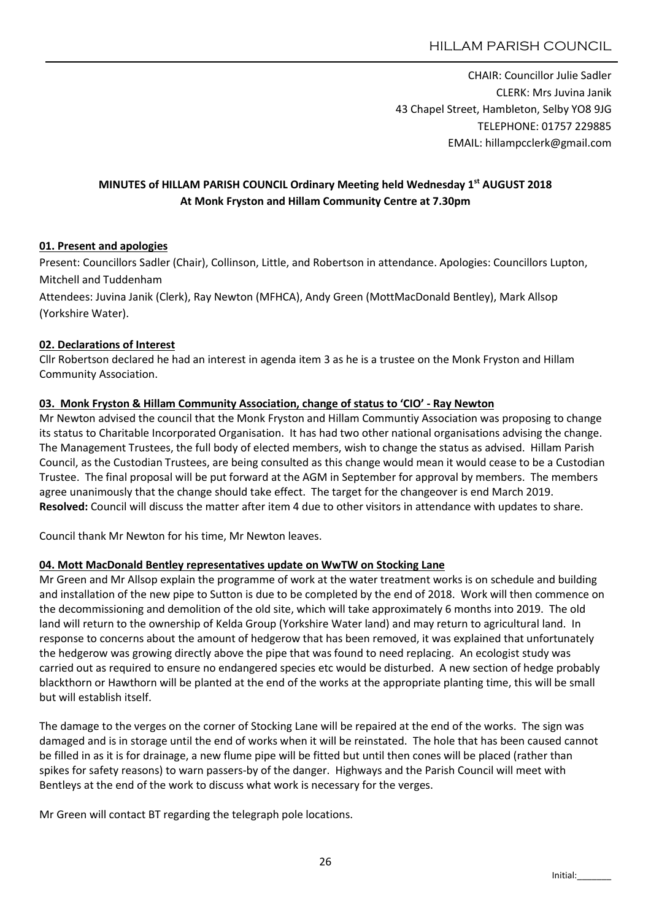CHAIR: Councillor Julie Sadler CLERK: Mrs Juvina Janik 43 Chapel Street, Hambleton, Selby YO8 9JG TELEPHONE: 01757 229885 EMAIL: hillampcclerk@gmail.com

# MINUTES of HILLAM PARISH COUNCIL Ordinary Meeting held Wednesday 1st AUGUST 2018 At Monk Fryston and Hillam Community Centre at 7.30pm

### 01. Present and apologies

Present: Councillors Sadler (Chair), Collinson, Little, and Robertson in attendance. Apologies: Councillors Lupton, Mitchell and Tuddenham

Attendees: Juvina Janik (Clerk), Ray Newton (MFHCA), Andy Green (MottMacDonald Bentley), Mark Allsop (Yorkshire Water).

### 02. Declarations of Interest

Cllr Robertson declared he had an interest in agenda item 3 as he is a trustee on the Monk Fryston and Hillam Community Association.

### 03. Monk Fryston & Hillam Community Association, change of status to 'CIO' - Ray Newton

Mr Newton advised the council that the Monk Fryston and Hillam Communtiy Association was proposing to change its status to Charitable Incorporated Organisation. It has had two other national organisations advising the change. The Management Trustees, the full body of elected members, wish to change the status as advised. Hillam Parish Council, as the Custodian Trustees, are being consulted as this change would mean it would cease to be a Custodian Trustee. The final proposal will be put forward at the AGM in September for approval by members. The members agree unanimously that the change should take effect. The target for the changeover is end March 2019. Resolved: Council will discuss the matter after item 4 due to other visitors in attendance with updates to share.

Council thank Mr Newton for his time, Mr Newton leaves.

#### 04. Mott MacDonald Bentley representatives update on WwTW on Stocking Lane

Mr Green and Mr Allsop explain the programme of work at the water treatment works is on schedule and building and installation of the new pipe to Sutton is due to be completed by the end of 2018. Work will then commence on the decommissioning and demolition of the old site, which will take approximately 6 months into 2019. The old land will return to the ownership of Kelda Group (Yorkshire Water land) and may return to agricultural land. In response to concerns about the amount of hedgerow that has been removed, it was explained that unfortunately the hedgerow was growing directly above the pipe that was found to need replacing. An ecologist study was carried out as required to ensure no endangered species etc would be disturbed. A new section of hedge probably blackthorn or Hawthorn will be planted at the end of the works at the appropriate planting time, this will be small but will establish itself.

The damage to the verges on the corner of Stocking Lane will be repaired at the end of the works. The sign was damaged and is in storage until the end of works when it will be reinstated. The hole that has been caused cannot be filled in as it is for drainage, a new flume pipe will be fitted but until then cones will be placed (rather than spikes for safety reasons) to warn passers-by of the danger. Highways and the Parish Council will meet with Bentleys at the end of the work to discuss what work is necessary for the verges.

Mr Green will contact BT regarding the telegraph pole locations.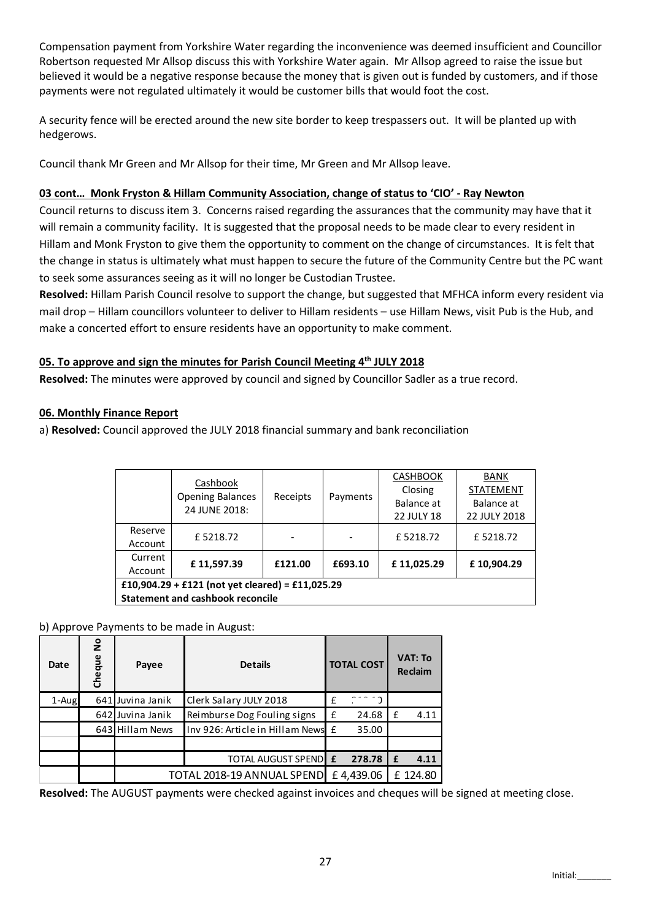Compensation payment from Yorkshire Water regarding the inconvenience was deemed insufficient and Councillor Robertson requested Mr Allsop discuss this with Yorkshire Water again. Mr Allsop agreed to raise the issue but believed it would be a negative response because the money that is given out is funded by customers, and if those payments were not regulated ultimately it would be customer bills that would foot the cost.

A security fence will be erected around the new site border to keep trespassers out. It will be planted up with hedgerows.

Council thank Mr Green and Mr Allsop for their time, Mr Green and Mr Allsop leave.

## 03 cont… Monk Fryston & Hillam Community Association, change of status to 'CIO' - Ray Newton

Council returns to discuss item 3. Concerns raised regarding the assurances that the community may have that it will remain a community facility. It is suggested that the proposal needs to be made clear to every resident in Hillam and Monk Fryston to give them the opportunity to comment on the change of circumstances. It is felt that the change in status is ultimately what must happen to secure the future of the Community Centre but the PC want to seek some assurances seeing as it will no longer be Custodian Trustee.

Resolved: Hillam Parish Council resolve to support the change, but suggested that MFHCA inform every resident via mail drop – Hillam councillors volunteer to deliver to Hillam residents – use Hillam News, visit Pub is the Hub, and make a concerted effort to ensure residents have an opportunity to make comment.

## 05. To approve and sign the minutes for Parish Council Meeting 4<sup>th</sup> JULY 2018

Resolved: The minutes were approved by council and signed by Councillor Sadler as a true record.

## 06. Monthly Finance Report

a) Resolved: Council approved the JULY 2018 financial summary and bank reconciliation

|                                                  | Cashbook<br><b>Opening Balances</b><br>24 JUNE 2018: | Receipts |          | <b>CASHBOOK</b>   | BANK             |  |  |  |  |  |
|--------------------------------------------------|------------------------------------------------------|----------|----------|-------------------|------------------|--|--|--|--|--|
|                                                  |                                                      |          | Payments | Closing           | <b>STATEMENT</b> |  |  |  |  |  |
|                                                  |                                                      |          |          | Balance at        | Balance at       |  |  |  |  |  |
|                                                  |                                                      |          |          | <b>22 JULY 18</b> | 22 JULY 2018     |  |  |  |  |  |
| Reserve                                          | £5218.72                                             |          |          | £5218.72          | £5218.72         |  |  |  |  |  |
| Account                                          |                                                      |          |          |                   |                  |  |  |  |  |  |
| Current                                          | £11,597.39                                           | £121.00  | £693.10  | £11,025.29        | £10,904.29       |  |  |  |  |  |
| Account                                          |                                                      |          |          |                   |                  |  |  |  |  |  |
| £10,904.29 + £121 (not yet cleared) = £11,025.29 |                                                      |          |          |                   |                  |  |  |  |  |  |
| <b>Statement and cashbook reconcile</b>          |                                                      |          |          |                   |                  |  |  |  |  |  |

### b) Approve Payments to be made in August:

| Date  | $\frac{1}{2}$<br>Cheque | Payee            | <b>Details</b>                    | <b>TOTAL COST</b> |           | <b>VAT: To</b><br>Reclaim |          |
|-------|-------------------------|------------------|-----------------------------------|-------------------|-----------|---------------------------|----------|
| 1-Aug |                         | 641 Juvina Janik | Clerk Salary JULY 2018            | £                 |           |                           |          |
|       |                         | 642 Juvina Janik | Reimburse Dog Fouling signs       | £                 | 24.68     | £                         | 4.11     |
|       |                         | 643 Hillam News  | Inv 926: Article in Hillam News £ |                   | 35.00     |                           |          |
|       |                         |                  |                                   |                   |           |                           |          |
|       |                         |                  | TOTAL AUGUST SPENDEE              |                   | 278.78    | £                         | 4.11     |
|       |                         |                  | TOTAL 2018-19 ANNUAL SPEND        |                   | £4,439.06 |                           | £ 124.80 |

Resolved: The AUGUST payments were checked against invoices and cheques will be signed at meeting close.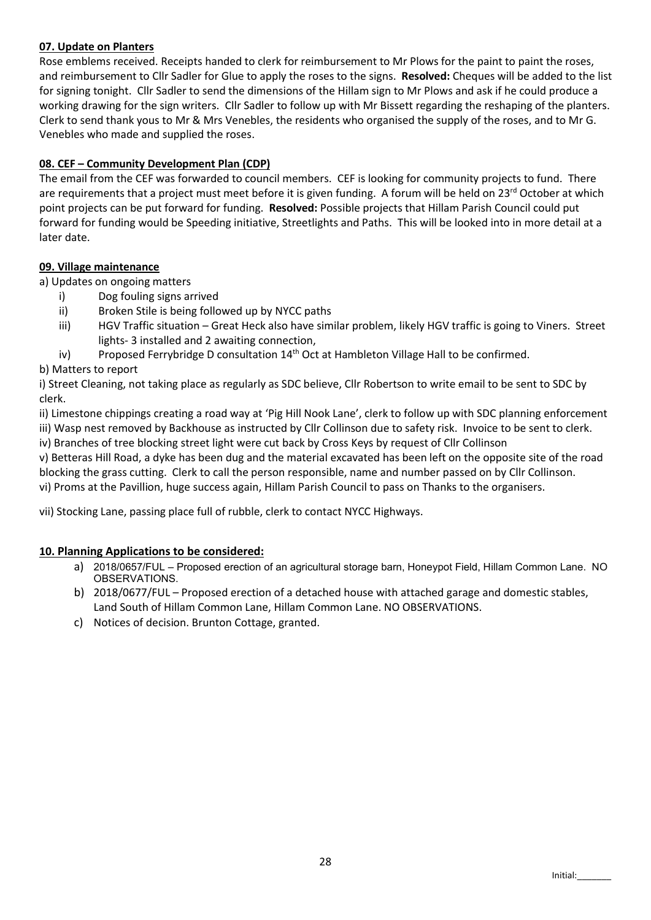### 07. Update on Planters

Rose emblems received. Receipts handed to clerk for reimbursement to Mr Plows for the paint to paint the roses, and reimbursement to Cllr Sadler for Glue to apply the roses to the signs. Resolved: Cheques will be added to the list for signing tonight. Cllr Sadler to send the dimensions of the Hillam sign to Mr Plows and ask if he could produce a working drawing for the sign writers. Cllr Sadler to follow up with Mr Bissett regarding the reshaping of the planters. Clerk to send thank yous to Mr & Mrs Venebles, the residents who organised the supply of the roses, and to Mr G. Venebles who made and supplied the roses.

### 08. CEF – Community Development Plan (CDP)

The email from the CEF was forwarded to council members. CEF is looking for community projects to fund. There are requirements that a project must meet before it is given funding. A forum will be held on 23<sup>rd</sup> October at which point projects can be put forward for funding. Resolved: Possible projects that Hillam Parish Council could put forward for funding would be Speeding initiative, Streetlights and Paths. This will be looked into in more detail at a later date.

#### 09. Village maintenance

a) Updates on ongoing matters

- i) Dog fouling signs arrived
	- ii) Broken Stile is being followed up by NYCC paths
- iii) HGV Traffic situation Great Heck also have similar problem, likely HGV traffic is going to Viners. Street lights- 3 installed and 2 awaiting connection,
- iv) Proposed Ferrybridge D consultation  $14<sup>th</sup>$  Oct at Hambleton Village Hall to be confirmed.

### b) Matters to report

i) Street Cleaning, not taking place as regularly as SDC believe, Cllr Robertson to write email to be sent to SDC by clerk.

ii) Limestone chippings creating a road way at 'Pig Hill Nook Lane', clerk to follow up with SDC planning enforcement iii) Wasp nest removed by Backhouse as instructed by Cllr Collinson due to safety risk. Invoice to be sent to clerk.

iv) Branches of tree blocking street light were cut back by Cross Keys by request of Cllr Collinson

v) Betteras Hill Road, a dyke has been dug and the material excavated has been left on the opposite site of the road blocking the grass cutting. Clerk to call the person responsible, name and number passed on by Cllr Collinson. vi) Proms at the Pavillion, huge success again, Hillam Parish Council to pass on Thanks to the organisers.

vii) Stocking Lane, passing place full of rubble, clerk to contact NYCC Highways.

### 10. Planning Applications to be considered:

- a) 2018/0657/FUL Proposed erection of an agricultural storage barn, Honeypot Field, Hillam Common Lane. NO OBSERVATIONS.
- b) 2018/0677/FUL Proposed erection of a detached house with attached garage and domestic stables, Land South of Hillam Common Lane, Hillam Common Lane. NO OBSERVATIONS.
- c) Notices of decision. Brunton Cottage, granted.